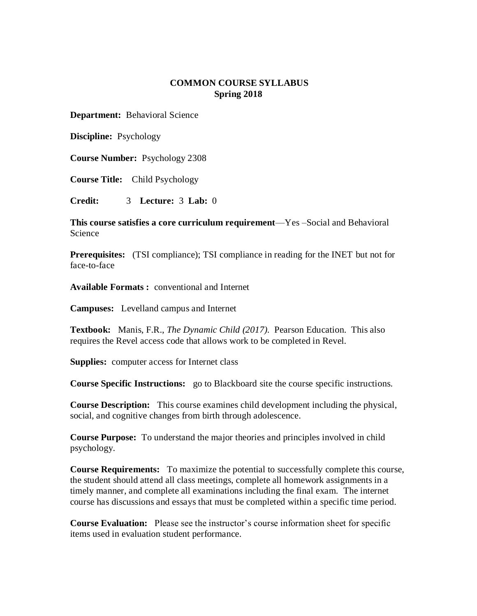# **COMMON COURSE SYLLABUS Spring 2018**

**Department:** Behavioral Science

**Discipline:** Psychology

**Course Number:** Psychology 2308

**Course Title:** Child Psychology

**Credit:** 3 **Lecture:** 3 **Lab:** 0

**This course satisfies a core curriculum requirement**—Yes –Social and Behavioral Science

**Prerequisites:** (TSI compliance); TSI compliance in reading for the INET but not for face-to-face

**Available Formats :** conventional and Internet

**Campuses:** Levelland campus and Internet

**Textbook:** Manis, F.R., *The Dynamic Child (2017).* Pearson Education. This also requires the Revel access code that allows work to be completed in Revel.

**Supplies:** computer access for Internet class

**Course Specific Instructions:** go to Blackboard site the course specific instructions.

**Course Description:** This course examines child development including the physical, social, and cognitive changes from birth through adolescence.

**Course Purpose:** To understand the major theories and principles involved in child psychology.

**Course Requirements:** To maximize the potential to successfully complete this course, the student should attend all class meetings, complete all homework assignments in a timely manner, and complete all examinations including the final exam. The internet course has discussions and essays that must be completed within a specific time period.

**Course Evaluation:** Please see the instructor's course information sheet for specific items used in evaluation student performance.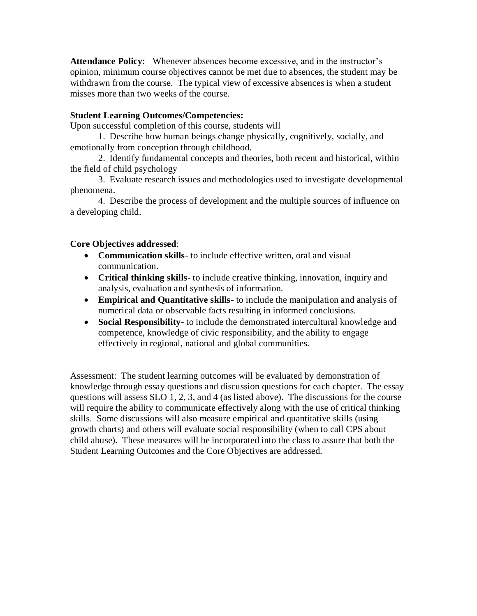**Attendance Policy:** Whenever absences become excessive, and in the instructor's opinion, minimum course objectives cannot be met due to absences, the student may be withdrawn from the course. The typical view of excessive absences is when a student misses more than two weeks of the course.

# **Student Learning Outcomes/Competencies:**

Upon successful completion of this course, students will

1. Describe how human beings change physically, cognitively, socially, and emotionally from conception through childhood.

2. Identify fundamental concepts and theories, both recent and historical, within the field of child psychology

3. Evaluate research issues and methodologies used to investigate developmental phenomena.

4. Describe the process of development and the multiple sources of influence on a developing child.

# **Core Objectives addressed**:

- **Communication skills** to include effective written, oral and visual communication.
- **Critical thinking skills** to include creative thinking, innovation, inquiry and analysis, evaluation and synthesis of information.
- **Empirical and Quantitative skills** to include the manipulation and analysis of numerical data or observable facts resulting in informed conclusions.
- **Social Responsibility** to include the demonstrated intercultural knowledge and competence, knowledge of civic responsibility, and the ability to engage effectively in regional, national and global communities.

Assessment: The student learning outcomes will be evaluated by demonstration of knowledge through essay questions and discussion questions for each chapter. The essay questions will assess SLO 1, 2, 3, and 4 (as listed above). The discussions for the course will require the ability to communicate effectively along with the use of critical thinking skills. Some discussions will also measure empirical and quantitative skills (using growth charts) and others will evaluate social responsibility (when to call CPS about child abuse). These measures will be incorporated into the class to assure that both the Student Learning Outcomes and the Core Objectives are addressed.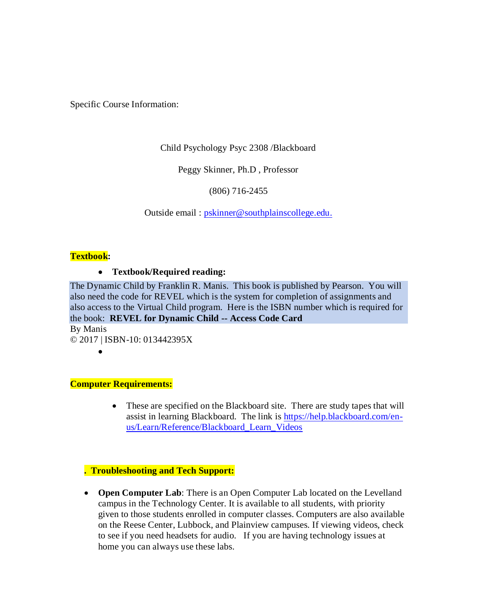Specific Course Information:

Child Psychology Psyc 2308 /Blackboard

Peggy Skinner, Ph.D , Professor

(806) 716-2455

Outside email : [pskinner@southplainscollege.edu.](mailto:pskinner@southplainscollege.edu)

# **Textbook:**

### **Textbook/Required reading:**

The Dynamic Child by Franklin R. Manis. This book is published by Pearson. You will also need the code for REVEL which is the system for completion of assignments and also access to the Virtual Child program. Here is the ISBN number which is required for the book: **REVEL for Dynamic Child -- Access Code Card**

By Manis © 2017 | ISBN-10: 013442395X

 $\bullet$ 

### **Computer Requirements:**

• These are specified on the Blackboard site. There are study tapes that will assist in learning Blackboard. The link is [https://help.blackboard.com/en](https://help.blackboard.com/en-us/Learn/Reference/Blackboard_Learn_Videos)[us/Learn/Reference/Blackboard\\_Learn\\_Videos](https://help.blackboard.com/en-us/Learn/Reference/Blackboard_Learn_Videos)

# **. Troubleshooting and Tech Support:**

 **Open Computer Lab**: There is an Open Computer Lab located on the Levelland campus in the Technology Center. It is available to all students, with priority given to those students enrolled in computer classes. Computers are also available on the Reese Center, Lubbock, and Plainview campuses. If viewing videos, check to see if you need headsets for audio. If you are having technology issues at home you can always use these labs.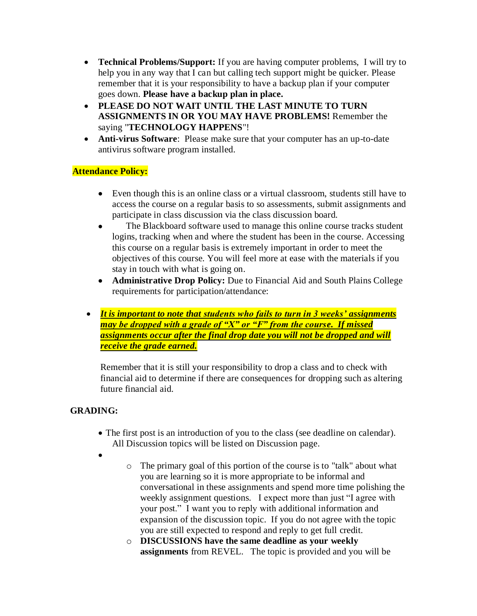- **Technical Problems/Support:** If you are having computer problems, I will try to help you in any way that I can but calling tech support might be quicker. Please remember that it is your responsibility to have a backup plan if your computer goes down. **Please have a backup plan in place.**
- **PLEASE DO NOT WAIT UNTIL THE LAST MINUTE TO TURN ASSIGNMENTS IN OR YOU MAY HAVE PROBLEMS!** Remember the saying "**TECHNOLOGY HAPPENS**"!
- **Anti-virus Software**: Please make sure that your computer has an up-to-date antivirus software program installed.

# **Attendance Policy:**

- Even though this is an online class or a virtual classroom, students still have to access the course on a regular basis to so assessments, submit assignments and participate in class discussion via the class discussion board.
- The Blackboard software used to manage this online course tracks student logins, tracking when and where the student has been in the course. Accessing this course on a regular basis is extremely important in order to meet the objectives of this course. You will feel more at ease with the materials if you stay in touch with what is going on.
- **Administrative Drop Policy:** Due to Financial Aid and South Plains College requirements for participation/attendance:
- *It is important to note that students who fails to turn in 3 weeks' assignments may be dropped with a grade of "X" or "F" from the course. If missed assignments occur after the final drop date you will not be dropped and will receive the grade earned.*

Remember that it is still your responsibility to drop a class and to check with financial aid to determine if there are consequences for dropping such as altering future financial aid.

# **GRADING:**

- The first post is an introduction of you to the class (see deadline on calendar). All Discussion topics will be listed on Discussion page.
- $\bullet$
- o The primary goal of this portion of the course is to "talk" about what you are learning so it is more appropriate to be informal and conversational in these assignments and spend more time polishing the weekly assignment questions. I expect more than just "I agree with your post." I want you to reply with additional information and expansion of the discussion topic. If you do not agree with the topic you are still expected to respond and reply to get full credit.
- o **DISCUSSIONS have the same deadline as your weekly assignments** from REVEL. The topic is provided and you will be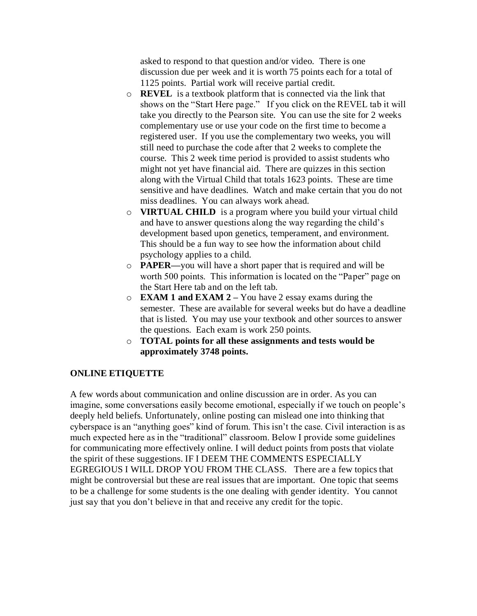asked to respond to that question and/or video. There is one discussion due per week and it is worth 75 points each for a total of 1125 points. Partial work will receive partial credit.

- o **REVEL** is a textbook platform that is connected via the link that shows on the "Start Here page." If you click on the REVEL tab it will take you directly to the Pearson site. You can use the site for 2 weeks complementary use or use your code on the first time to become a registered user. If you use the complementary two weeks, you will still need to purchase the code after that 2 weeks to complete the course. This 2 week time period is provided to assist students who might not yet have financial aid. There are quizzes in this section along with the Virtual Child that totals 1623 points. These are time sensitive and have deadlines. Watch and make certain that you do not miss deadlines. You can always work ahead.
- o **VIRTUAL CHILD** is a program where you build your virtual child and have to answer questions along the way regarding the child's development based upon genetics, temperament, and environment. This should be a fun way to see how the information about child psychology applies to a child.
- o **PAPER—**you will have a short paper that is required and will be worth 500 points. This information is located on the "Paper" page on the Start Here tab and on the left tab.
- o **EXAM 1 and EXAM 2 –** You have 2 essay exams during the semester. These are available for several weeks but do have a deadline that is listed. You may use your textbook and other sources to answer the questions. Each exam is work 250 points.
- o **TOTAL points for all these assignments and tests would be approximately 3748 points.**

# **ONLINE ETIQUETTE**

A few words about communication and online discussion are in order. As you can imagine, some conversations easily become emotional, especially if we touch on people's deeply held beliefs. Unfortunately, online posting can mislead one into thinking that cyberspace is an "anything goes" kind of forum. This isn't the case. Civil interaction is as much expected here as in the "traditional" classroom. Below I provide some guidelines for communicating more effectively online. I will deduct points from posts that violate the spirit of these suggestions. IF I DEEM THE COMMENTS ESPECIALLY EGREGIOUS I WILL DROP YOU FROM THE CLASS. There are a few topics that might be controversial but these are real issues that are important. One topic that seems to be a challenge for some students is the one dealing with gender identity. You cannot just say that you don't believe in that and receive any credit for the topic.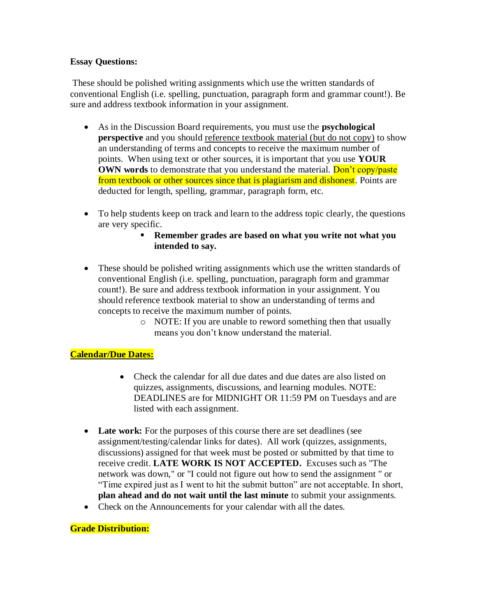# **Essay Questions:**

These should be polished writing assignments which use the written standards of conventional English (i.e. spelling, punctuation, paragraph form and grammar count!). Be sure and address textbook information in your assignment.

- As in the Discussion Board requirements, you must use the **psychological perspective** and you should reference textbook material (but do not copy) to show an understanding of terms and concepts to receive the maximum number of points. When using text or other sources, it is important that you use **YOUR OWN words** to demonstrate that you understand the material. **Don't copy/paste** from textbook or other sources since that is plagiarism and dishonest. Points are deducted for length, spelling, grammar, paragraph form, etc.
- To help students keep on track and learn to the address topic clearly, the questions are very specific.
	- **Remember grades are based on what you write not what you intended to say.**
- These should be polished writing assignments which use the written standards of conventional English (i.e. spelling, punctuation, paragraph form and grammar count!). Be sure and address textbook information in your assignment. You should reference textbook material to show an understanding of terms and concepts to receive the maximum number of points.
	- o NOTE: If you are unable to reword something then that usually means you don't know understand the material.

# **Calendar/Due Dates:**

- Check the calendar for all due dates and due dates are also listed on quizzes, assignments, discussions, and learning modules. NOTE: DEADLINES are for MIDNIGHT OR 11:59 PM on Tuesdays and are listed with each assignment.
- Late work: For the purposes of this course there are set deadlines (see assignment/testing/calendar links for dates). All work (quizzes, assignments, discussions) assigned for that week must be posted or submitted by that time to receive credit. **LATE WORK IS NOT ACCEPTED.** Excuses such as "The network was down," or "I could not figure out how to send the assignment " or "Time expired just as I went to hit the submit button" are not acceptable. In short, **plan ahead and do not wait until the last minute** to submit your assignments.
- Check on the Announcements for your calendar with all the dates.

### **Grade Distribution:**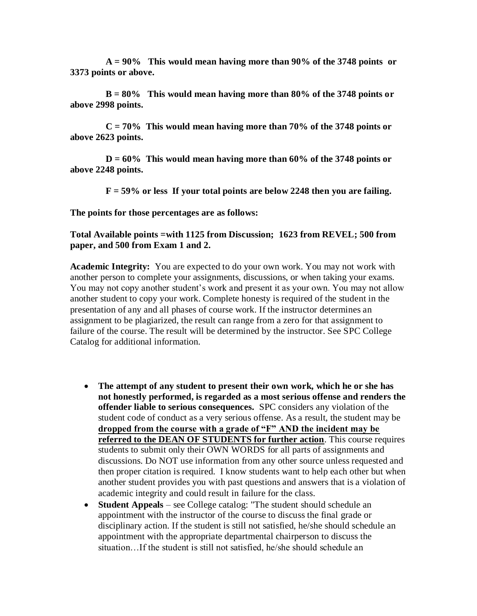**A = 90% This would mean having more than 90% of the 3748 points or 3373 points or above.**

**B = 80% This would mean having more than 80% of the 3748 points or above 2998 points.** 

**C = 70% This would mean having more than 70% of the 3748 points or above 2623 points.** 

**D = 60% This would mean having more than 60% of the 3748 points or above 2248 points.**

**F = 59% or less If your total points are below 2248 then you are failing.** 

**The points for those percentages are as follows:**

### **Total Available points =with 1125 from Discussion; 1623 from REVEL; 500 from paper, and 500 from Exam 1 and 2.**

**Academic Integrity:** You are expected to do your own work. You may not work with another person to complete your assignments, discussions, or when taking your exams. You may not copy another student's work and present it as your own. You may not allow another student to copy your work. Complete honesty is required of the student in the presentation of any and all phases of course work. If the instructor determines an assignment to be plagiarized, the result can range from a zero for that assignment to failure of the course. The result will be determined by the instructor. See SPC College Catalog for additional information.

- **The attempt of any student to present their own work, which he or she has not honestly performed, is regarded as a most serious offense and renders the offender liable to serious consequences.** SPC considers any violation of the student code of conduct as a very serious offense. As a result, the student may be **dropped from the course with a grade of "F" AND the incident may be referred to the DEAN OF STUDENTS for further action**. This course requires students to submit only their OWN WORDS for all parts of assignments and discussions. Do NOT use information from any other source unless requested and then proper citation is required. I know students want to help each other but when another student provides you with past questions and answers that is a violation of academic integrity and could result in failure for the class.
- **Student Appeals** see College catalog: "The student should schedule an appointment with the instructor of the course to discuss the final grade or disciplinary action. If the student is still not satisfied, he/she should schedule an appointment with the appropriate departmental chairperson to discuss the situation…If the student is still not satisfied, he/she should schedule an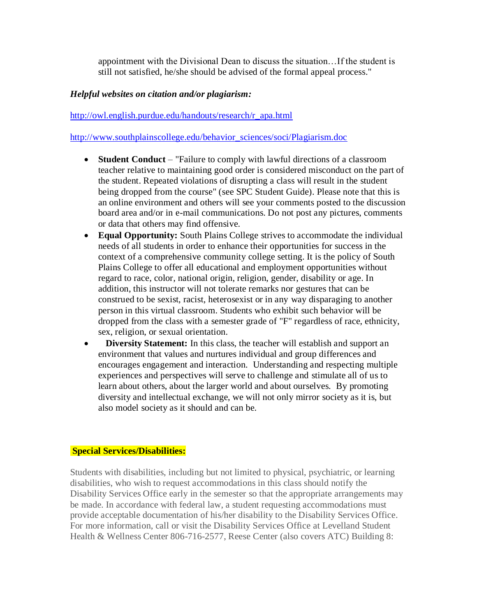appointment with the Divisional Dean to discuss the situation…If the student is still not satisfied, he/she should be advised of the formal appeal process."

# *Helpful websites on citation and/or plagiarism:*

# [http://owl.english.purdue.edu/handouts/research/r\\_apa.html](http://owl.english.purdue.edu/handouts/research/r_apa.html)

[http://www.southplainscollege.edu/behavior\\_sciences/soci/Plagiarism.doc](http://www.southplainscollege.edu/behavior_sciences/soci/Plagiarism.doc)

- **Student Conduct** "Failure to comply with lawful directions of a classroom teacher relative to maintaining good order is considered misconduct on the part of the student. Repeated violations of disrupting a class will result in the student being dropped from the course" (see SPC Student Guide). Please note that this is an online environment and others will see your comments posted to the discussion board area and/or in e-mail communications. Do not post any pictures, comments or data that others may find offensive.
- **Equal Opportunity:** South Plains College strives to accommodate the individual needs of all students in order to enhance their opportunities for success in the context of a comprehensive community college setting. It is the policy of South Plains College to offer all educational and employment opportunities without regard to race, color, national origin, religion, gender, disability or age. In addition, this instructor will not tolerate remarks nor gestures that can be construed to be sexist, racist, heterosexist or in any way disparaging to another person in this virtual classroom. Students who exhibit such behavior will be dropped from the class with a semester grade of "F" regardless of race, ethnicity, sex, religion, or sexual orientation.
- **Diversity Statement:** In this class, the teacher will establish and support an environment that values and nurtures individual and group differences and encourages engagement and interaction. Understanding and respecting multiple experiences and perspectives will serve to challenge and stimulate all of us to learn about others, about the larger world and about ourselves. By promoting diversity and intellectual exchange, we will not only mirror society as it is, but also model society as it should and can be.

### **Special Services/Disabilities:**

Students with disabilities, including but not limited to physical, psychiatric, or learning disabilities, who wish to request accommodations in this class should notify the Disability Services Office early in the semester so that the appropriate arrangements may be made. In accordance with federal law, a student requesting accommodations must provide acceptable documentation of his/her disability to the Disability Services Office. For more information, call or visit the Disability Services Office at Levelland Student Health & Wellness Center 806-716-2577, Reese Center (also covers ATC) Building 8: